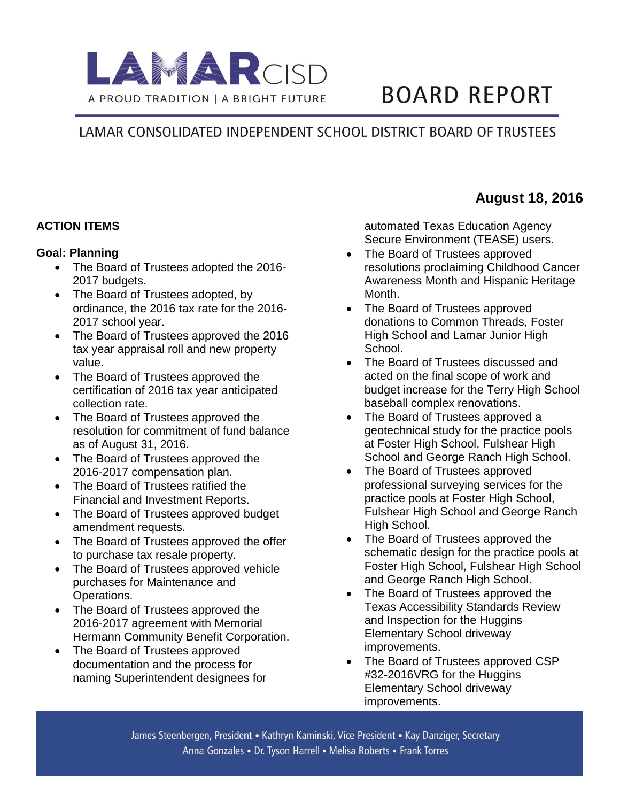

# **BOARD REPORT**

## LAMAR CONSOLIDATED INDEPENDENT SCHOOL DISTRICT BOARD OF TRUSTEES

## **ACTION ITEMS**

#### **Goal: Planning**

- The Board of Trustees adopted the 2016-2017 budgets.
- The Board of Trustees adopted, by ordinance, the 2016 tax rate for the 2016- 2017 school year.
- The Board of Trustees approved the 2016 tax year appraisal roll and new property value.
- The Board of Trustees approved the certification of 2016 tax year anticipated collection rate.
- The Board of Trustees approved the resolution for commitment of fund balance as of August 31, 2016.
- The Board of Trustees approved the 2016-2017 compensation plan.
- The Board of Trustees ratified the Financial and Investment Reports.
- The Board of Trustees approved budget amendment requests.
- The Board of Trustees approved the offer to purchase tax resale property.
- The Board of Trustees approved vehicle purchases for Maintenance and Operations.
- The Board of Trustees approved the 2016-2017 agreement with Memorial Hermann Community Benefit Corporation.
- The Board of Trustees approved documentation and the process for naming Superintendent designees for

automated Texas Education Agency Secure Environment (TEASE) users.

- The Board of Trustees approved resolutions proclaiming Childhood Cancer Awareness Month and Hispanic Heritage Month.
- The Board of Trustees approved donations to Common Threads, Foster High School and Lamar Junior High School.
- The Board of Trustees discussed and acted on the final scope of work and budget increase for the Terry High School baseball complex renovations.
- The Board of Trustees approved a geotechnical study for the practice pools at Foster High School, Fulshear High School and George Ranch High School.
- The Board of Trustees approved professional surveying services for the practice pools at Foster High School, Fulshear High School and George Ranch High School.
- The Board of Trustees approved the schematic design for the practice pools at Foster High School, Fulshear High School and George Ranch High School.
- The Board of Trustees approved the Texas Accessibility Standards Review and Inspection for the Huggins Elementary School driveway improvements.
- The Board of Trustees approved CSP #32-2016VRG for the Huggins Elementary School driveway improvements.

## **August 18, 2016**